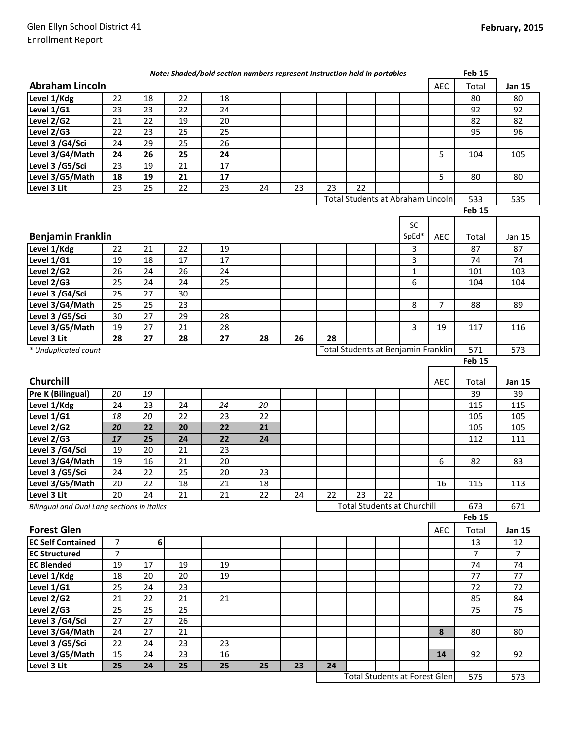|                                                                                          |                |                  |          | Note: Shaded/bold section numbers represent instruction held in portables |    |    |    |                                     |     |             |                | Feb 15          |                 |
|------------------------------------------------------------------------------------------|----------------|------------------|----------|---------------------------------------------------------------------------|----|----|----|-------------------------------------|-----|-------------|----------------|-----------------|-----------------|
| <b>Abraham Lincoln</b>                                                                   |                |                  |          |                                                                           |    |    |    |                                     |     |             | <b>AEC</b>     | Total           | <b>Jan 15</b>   |
| Level 1/Kdg                                                                              | 22             | 18               | 22       | 18                                                                        |    |    |    |                                     |     |             |                | 80              | 80              |
| Level 1/G1                                                                               | 23             | 23               | 22       | 24                                                                        |    |    |    |                                     |     |             |                | 92              | 92              |
| Level 2/G2                                                                               | 21             | 22               | 19       | 20                                                                        |    |    |    |                                     |     |             |                | 82              | 82              |
| Level 2/G3                                                                               | 22             | 23               | 25       | 25                                                                        |    |    |    |                                     |     |             |                | 95              | 96              |
| Level 3 /G4/Sci                                                                          | 24             | 29               | 25       | 26                                                                        |    |    |    |                                     |     |             |                |                 |                 |
| Level 3/G4/Math                                                                          | 24             | 26               | 25       | 24                                                                        |    |    |    |                                     |     |             | 5              | 104             | 105             |
| Level 3 /G5/Sci                                                                          | 23             | 19               | 21       | 17                                                                        |    |    |    |                                     |     |             |                |                 |                 |
| Level 3/G5/Math                                                                          | 18             | 19               | 21       | 17                                                                        |    |    |    |                                     |     |             | 5              | 80              | 80              |
| Level 3 Lit                                                                              | 23             | 25               | 22       | 23                                                                        | 24 | 23 | 23 | 22                                  |     |             |                |                 |                 |
|                                                                                          |                |                  |          |                                                                           |    |    |    | Total Students at Abraham Lincoln   |     |             |                | 533             | 535             |
|                                                                                          |                |                  |          |                                                                           |    |    |    |                                     |     |             |                | <b>Feb 15</b>   |                 |
|                                                                                          |                |                  |          |                                                                           |    |    |    |                                     |     | <b>SC</b>   |                |                 |                 |
| <b>Benjamin Franklin</b>                                                                 |                |                  |          |                                                                           |    |    |    |                                     |     | SpEd*       | <b>AEC</b>     | Total           | Jan 15          |
| Level 1/Kdg                                                                              | 22             | 21               | 22       | 19                                                                        |    |    |    |                                     |     | 3           |                | 87              | 87              |
| Level 1/G1                                                                               | 19             | 18               | 17       | 17                                                                        |    |    |    |                                     |     | 3           |                | 74              | 74              |
| Level 2/G2                                                                               | 26             | 24               | 26       | 24                                                                        |    |    |    |                                     |     | $\mathbf 1$ |                | 101             | 103             |
| Level 2/G3                                                                               | 25             | 24               | 24       | 25                                                                        |    |    |    |                                     |     | 6           |                | 104             | 104             |
| Level 3 /G4/Sci                                                                          | 25             | 27               | 30       |                                                                           |    |    |    |                                     |     |             |                |                 |                 |
| Level 3/G4/Math                                                                          | 25             | 25               | 23       |                                                                           |    |    |    |                                     |     | 8           | $\overline{7}$ | 88              | 89              |
| Level 3 /G5/Sci                                                                          | 30             | 27               | 29       | 28                                                                        |    |    |    |                                     |     |             |                |                 |                 |
| Level 3/G5/Math                                                                          | 19             | 27               | 21       | 28                                                                        |    |    |    |                                     |     | 3           | 19             | 117             | 116             |
| Level 3 Lit                                                                              | 28             | 27               | 28       | 27                                                                        | 28 | 26 | 28 |                                     |     |             |                |                 |                 |
| * Unduplicated count                                                                     |                |                  |          |                                                                           |    |    |    | Total Students at Benjamin Franklin |     |             |                | 571             | 573             |
|                                                                                          |                |                  |          |                                                                           |    |    |    |                                     |     |             |                | Feb 15          |                 |
|                                                                                          |                |                  |          |                                                                           |    |    |    |                                     |     |             |                |                 |                 |
| Churchill                                                                                |                |                  |          |                                                                           |    |    |    |                                     |     |             | <b>AEC</b>     | Total           | <b>Jan 15</b>   |
| Pre K (Bilingual)                                                                        | 20             | 19               |          |                                                                           |    |    |    |                                     |     |             |                | 39              | 39              |
| Level 1/Kdg                                                                              | 24             | 23               | 24       | 24                                                                        | 20 |    |    |                                     |     |             |                | 115             | 115             |
| Level 1/G1                                                                               | 18             | 20               | 22       | 23                                                                        | 22 |    |    |                                     |     |             |                | 105             | 105             |
| Level 2/G2                                                                               | 20             | 22               | 20       | 22                                                                        | 21 |    |    |                                     |     |             |                | 105             | 105             |
| Level 2/G3                                                                               | 17             | 25               | 24       | 22                                                                        | 24 |    |    |                                     |     |             |                | 112             | 111             |
| Level 3 /G4/Sci                                                                          | 19             | 20               | 21       | 23                                                                        |    |    |    |                                     |     |             |                |                 |                 |
| Level 3/G4/Math                                                                          | 19             | 16               | 21       | 20                                                                        |    |    |    |                                     |     |             | 6              | 82              | 83              |
| Level 3 /G5/Sci                                                                          | 24             | 22               | 25       | 20                                                                        | 23 |    |    |                                     |     |             |                |                 |                 |
| Level 3/G5/Math                                                                          | 20             | 22               | 18       | 21                                                                        | 18 |    |    |                                     |     |             | 16             | 115             | 113             |
| Level 3 Lit                                                                              | 20             | 24               | 21       | 21                                                                        | 22 | 24 | 22 | 23                                  | 22  |             |                |                 |                 |
| <b>Total Students at Churchill</b><br><b>Bilingual and Dual Lang sections in italics</b> |                |                  |          |                                                                           |    |    |    |                                     | 673 | 671         |                |                 |                 |
|                                                                                          |                |                  |          |                                                                           |    |    |    |                                     |     |             |                | Feb 15          |                 |
| <b>Forest Glen</b>                                                                       |                |                  |          |                                                                           |    |    |    |                                     |     |             | <b>AEC</b>     | Total           | <b>Jan 15</b>   |
| <b>EC Self Contained</b>                                                                 | $\overline{7}$ | $\boldsymbol{6}$ |          |                                                                           |    |    |    |                                     |     |             |                | 13              | 12              |
| <b>EC Structured</b>                                                                     | $\overline{7}$ |                  |          |                                                                           |    |    |    |                                     |     |             |                | $\overline{7}$  | 7               |
| <b>EC Blended</b>                                                                        | 19             | 17               | 19       | 19                                                                        |    |    |    |                                     |     |             |                | $\overline{74}$ | $\overline{74}$ |
|                                                                                          |                | 20               | 20       | 19                                                                        |    |    |    |                                     |     |             |                | 77              | $\overline{77}$ |
|                                                                                          |                |                  |          |                                                                           |    |    |    |                                     |     |             |                |                 |                 |
|                                                                                          | 18             |                  |          |                                                                           |    |    |    |                                     |     |             |                |                 |                 |
| Level 1/G1                                                                               | 25             | 24               | 23       |                                                                           |    |    |    |                                     |     |             |                | 72              | 72              |
|                                                                                          | 21             | 22               | 21       | 21                                                                        |    |    |    |                                     |     |             |                | 85              | 84              |
| Level 1/Kdg<br>Level $2/\sqrt{62}$<br>Level $2/\overline{G3}$                            | 25             | 25               | 25       |                                                                           |    |    |    |                                     |     |             |                | 75              | 75              |
|                                                                                          | 27             | $\overline{27}$  | 26       |                                                                           |    |    |    |                                     |     |             |                |                 |                 |
|                                                                                          | 24             | 27               | 21       |                                                                           |    |    |    |                                     |     |             | 8              | 80              | 80              |
| Level 3 /G4/Sci<br>Level 3/G4/Math<br>Level 3 /G5/Sci                                    | 22             | 24               | 23       | 23                                                                        |    |    |    |                                     |     |             |                |                 |                 |
| Level 3/G5/Math<br>Level 3 Lit                                                           | 15<br>25       | 24<br>24         | 23<br>25 | 16<br>25                                                                  | 25 | 23 | 24 |                                     |     |             | 14             | 92              | 92              |